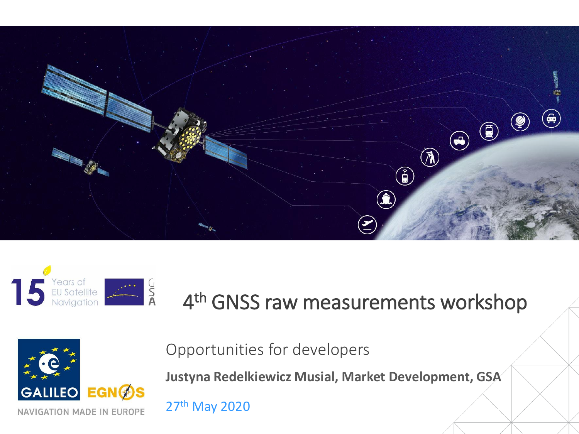



#### 4<sup>th</sup> GNSS raw measurements workshop



Opportunities for developers

**Justyna Redelkiewicz Musial, Market Development, GSA** 

27th May 2020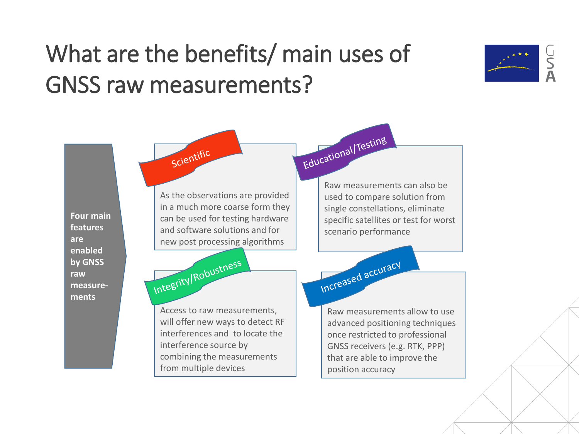#### What are the benefits/ main uses of GNSS raw measurements?



Educational/Testing scientific Raw measurements can also be As the observations are provided used to compare solution from in a much more coarse form they single constellations, eliminate **Four main**  can be used for testing hardware specific satellites or test for worst **features**  and software solutions and for scenario performance**are**  new post processing algorithms **enabled**  Integrity/Robustness Increased accuracy **by GNSS raw measurements** Access to raw measurements, will offer new ways to detect RF interferences and to locate the once restricted to professional interference source by GNSS receivers (e.g. RTK, PPP) combining the measurements that are able to improve the from multiple devices

Raw measurements allow to use advanced positioning techniques position accuracy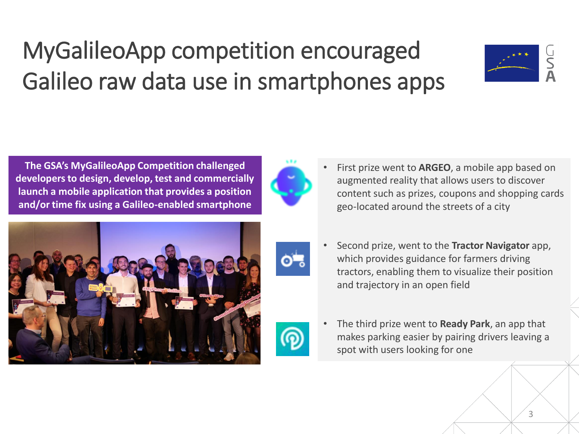#### MyGalileoApp competition encouraged Galileo raw data use in smartphones apps



**The GSA's MyGalileoApp Competition challenged developers to design, develop, test and commercially launch a mobile application that provides a position and/or time fix using a Galileo-enabled smartphone**



o-,

• First prize went to **ARGEO**, a mobile app based on augmented reality that allows users to discover content such as prizes, coupons and shopping cards geo-located around the streets of a city



• Second prize, went to the **Tractor Navigator** app, which provides guidance for farmers driving tractors, enabling them to visualize their position and trajectory in an open field



• The third prize went to **Ready Park**, an app that makes parking easier by pairing drivers leaving a spot with users looking for one

3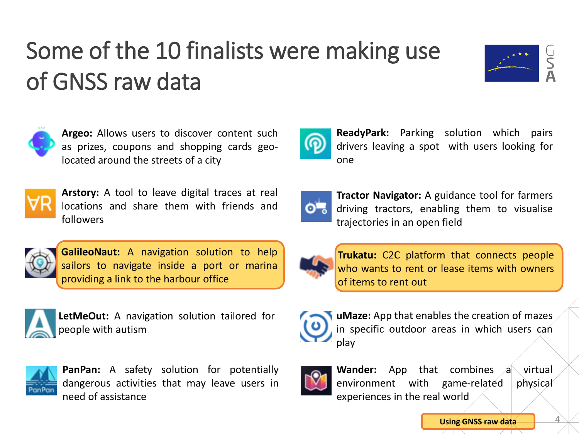## Some of the 10 finalists were making use of GNSS raw data



4



**Argeo:** Allows users to discover content such as prizes, coupons and shopping cards geolocated around the streets of a city



**Arstory:** A tool to leave digital traces at real locations and share them with friends and followers



**GalileoNaut:** A navigation solution to help sailors to navigate inside a port or marina providing a link to the harbour office



**LetMeOut:** A navigation solution tailored for people with autism



**PanPan:** A safety solution for potentially dangerous activities that may leave users in need of assistance



**ReadyPark:** Parking solution which pairs drivers leaving a spot with users looking for one



**Tractor Navigator:** A guidance tool for farmers driving tractors, enabling them to visualise trajectories in an open field



**Trukatu:** C2C platform that connects people who wants to rent or lease items with owners of items to rent out



**uMaze:** App that enables the creation of mazes in specific outdoor areas in which users can play



**Wander:** App that combines a virtual environment with game-related physical experiences in the real world

**Using GNSS raw data**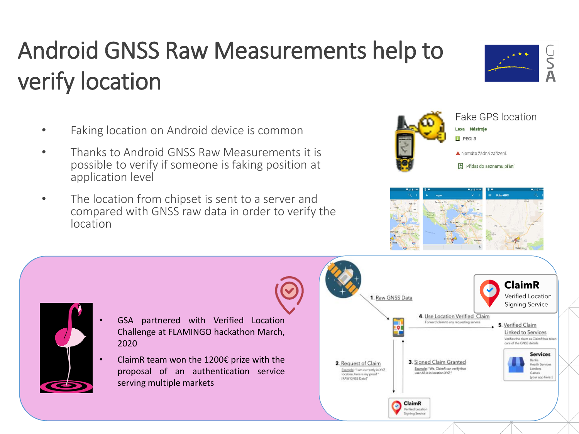## Android GNSS Raw Measurements help to verify location

- Faking location on Android device is common
- Thanks to Android GNSS Raw Measurements it is possible to verify if someone is faking position at application level
- The location from chipset is sent to a server and compared with GNSS raw data in order to verify the location





Lexa Nástroje



• GSA partnered with Verified Location Challenge at FLAMINGO hackathon March, 2020

ClaimR team won the 1200 $\epsilon$  prize with the proposal of an authentication service serving multiple markets





Fake GPS location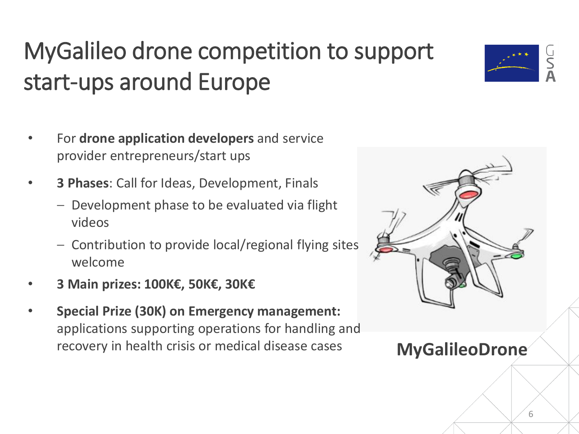## MyGalileo drone competition to support start-ups around Europe

- For **drone application developers** and service provider entrepreneurs/start ups
- **3 Phases**: Call for Ideas, Development, Finals
	- ‒ Development phase to be evaluated via flight videos
	- ‒ Contribution to provide local/regional flying sites welcome
- **3 Main prizes: 100K€, 50K€, 30K€**
- **Special Prize (30K) on Emergency management:**  applications supporting operations for handling and recovery in health crisis or medical disease cases **MyGalileoDrone**



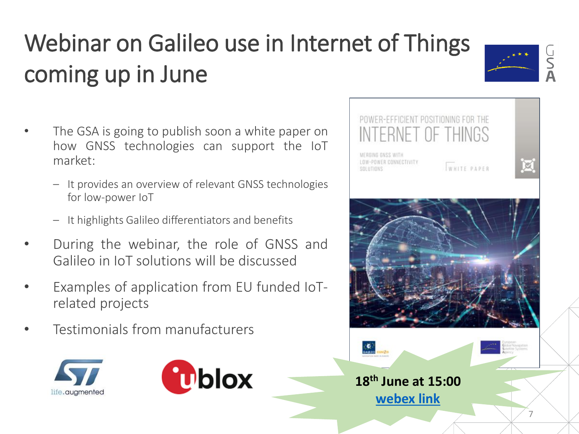# Webinar on Galileo use in Internet of Things coming up in June

- The GSA is going to publish soon a white paper on how GNSS technologies can support the IoT market:
	- ‒ It provides an overview of relevant GNSS technologies for low-power IoT
	- ‒ It highlights Galileo differentiators and benefits
- During the webinar, the role of GNSS and Galileo in IoT solutions will be discussed
- Examples of application from EU funded IoTrelated projects
- Testimonials from manufacturers





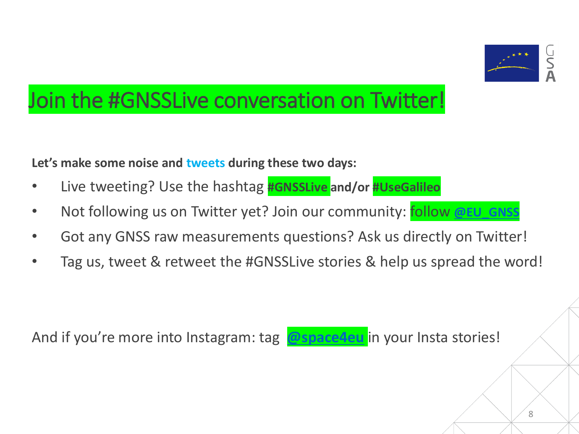

#### Join the #GNSSLive conversation on Twitter!

**Let's make some noise and tweets during these two days:**

- Live tweeting? Use the hashtag **#GNSSLive and/or #UseGalileo**
- Not following us on Twitter yet? Join our community: follow **[@EU\\_GNSS](https://twitter.com/EU_GNSS)**
- Got any GNSS raw measurements questions? Ask us directly on Twitter!
- Tag us, tweet & retweet the #GNSSLive stories & help us spread the word!

And if you're more into Instagram: tag **[@space4eu](https://www.instagram.com/space4eu/)** in your Insta stories!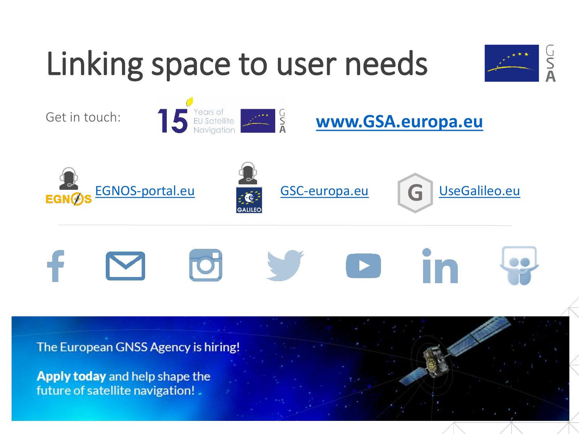

Apply today and help shape the future of satellite navigation!